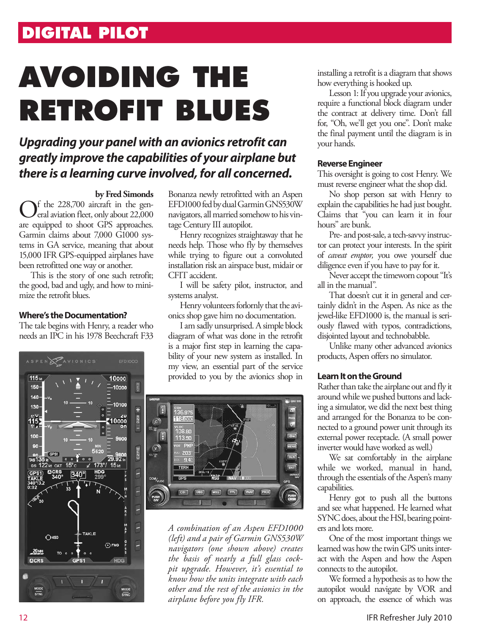## **DIGITAL PILOT**

# **AVOIDING THE RETROFIT BLUES**

### *Upgrading your panel with an avionics retrofit can greatly improve the capabilities of your airplane but there is a learning curve involved, for all concerned.*

#### **by Fred Simonds**

 $\bf{F}$  the 228,700 aircraft in the general aviation fleet, only about 22,000 are equipped to shoot GPS approaches. Garmin claims about 7,000 G1000 systems in GA service, meaning that about 15,000 IFR GPS-equipped airplanes have been retrofitted one way or another.

This is the story of one such retrofit; the good, bad and ugly, and how to minimize the retrofit blues.

#### **Where's the Documentation?**

The tale begins with Henry, a reader who needs an IPC in his 1978 Beechcraft F33



Bonanza newly retrofitted with an Aspen EFD1000 fed by dual Garmin GNS530W navigators, all married somehow to his vintage Century III autopilot.

Henry recognizes straightaway that he needs help. Those who fly by themselves while trying to figure out a convoluted installation risk an airspace bust, midair or CFIT accident.

I will be safety pilot, instructor, and systems analyst.

Henry volunteers forlornly that the avionics shop gave him no documentation.

I am sadly unsurprised. A simple block diagram of what was done in the retrofit is a major first step in learning the capability of your new system as installed. In my view, an essential part of the service provided to you by the avionics shop in



*A combination of an Aspen EFD1000 (left) and a pair of Garmin GNS530W navigators (one shown above) creates the basis of nearly a full glass cockpit upgrade. However, it's essential to know how the units integrate with each other and the rest of the avionics in the airplane before you fly IFR.*

installing a retrofit is a diagram that shows how everything is hooked up.

Lesson 1: If you upgrade your avionics, require a functional block diagram under the contract at delivery time. Don't fall for, "Oh, we'll get you one". Don't make the final payment until the diagram is in your hands.

#### **Reverse Engineer**

This oversight is going to cost Henry. We must reverse engineer what the shop did.

No shop person sat with Henry to explain the capabilities he had just bought. Claims that "you can learn it in four hours" are bunk.

Pre- and post-sale, a tech-savvy instructor can protect your interests. In the spirit of *caveat emptor,* you owe yourself due diligence even if you have to pay for it.

Never accept the timeworn copout "It's all in the manual".

That doesn't cut it in general and certainly didn't in the Aspen. As nice as the jewel-like EFD1000 is, the manual is seriously flawed with typos, contradictions, disjointed layout and technobabble.

Unlike many other advanced avionics products, Aspen offers no simulator.

#### **Learn It on the Ground**

Rather than take the airplane out and fly it around while we pushed buttons and lacking a simulator, we did the next best thing and arranged for the Bonanza to be connected to a ground power unit through its external power receptacle. (A small power inverter would have worked as well.)

We sat comfortably in the airplane while we worked, manual in hand, through the essentials of the Aspen's many capabilities.

Henry got to push all the buttons and see what happened. He learned what SYNC does, about the HSI, bearing pointers and lots more.

One of the most important things we learned was how the twin GPS units interact with the Aspen and how the Aspen connects to the autopilot.

We formed a hypothesis as to how the autopilot would navigate by VOR and on approach, the essence of which was